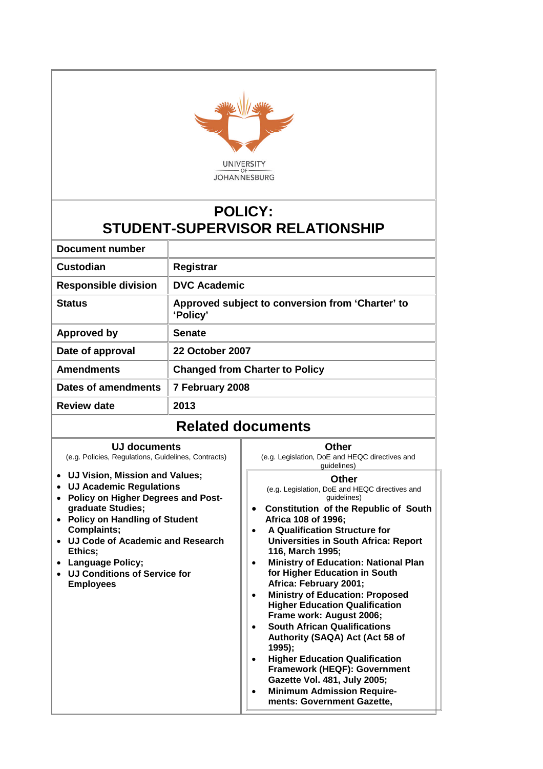

# **POLICY: STUDENT-SUPERVISOR RELATIONSHIP**

| Document number             |                                                              |
|-----------------------------|--------------------------------------------------------------|
| Custodian                   | Registrar                                                    |
| <b>Responsible division</b> | <b>DVC Academic</b>                                          |
| <b>Status</b>               | Approved subject to conversion from 'Charter' to<br>'Policy' |
| <b>Approved by</b>          | <b>Senate</b>                                                |
| Date of approval            | <b>22 October 2007</b>                                       |
| <b>Amendments</b>           | <b>Changed from Charter to Policy</b>                        |
| Dates of amendments         | 7 February 2008                                              |
| <b>Review date</b>          | 2013                                                         |

## **Related documents**

## **UJ documents**

(e.g. Policies, Regulations, Guidelines, Contracts)

**UJ Vision, Mission and Values;**

- **UJ Academic Regulations**
- **Policy on Higher Degrees and Postgraduate Studies;**
- **Policy on Handling of Student Complaints;**
- **UJ Code of Academic and Research Ethics;**
- **Language Policy;**
- **UJ Conditions of Service for Employees**

#### **Other**

(e.g. Legislation, DoE and HEQC directives and guidelines)

#### **Other**

(e.g. Legislation, DoE and HEQC directives and guidelines)

- **Constitution of the Republic of South Africa 108 of 1996;**
- **A Qualification Structure for Universities in South Africa: Report 116, March 1995;**
- **Ministry of Education: National Plan for Higher Education in South Africa: February 2001;**
- **Ministry of Education: Proposed Higher Education Qualification Frame work: August 2006;**
- **South African Qualifications Authority (SAQA) Act (Act 58 of 1995);**
- **Higher Education Qualification Framework (HEQF): Government Gazette Vol. 481, July 2005;**
- **Minimum Admission Requirements: Government Gazette,**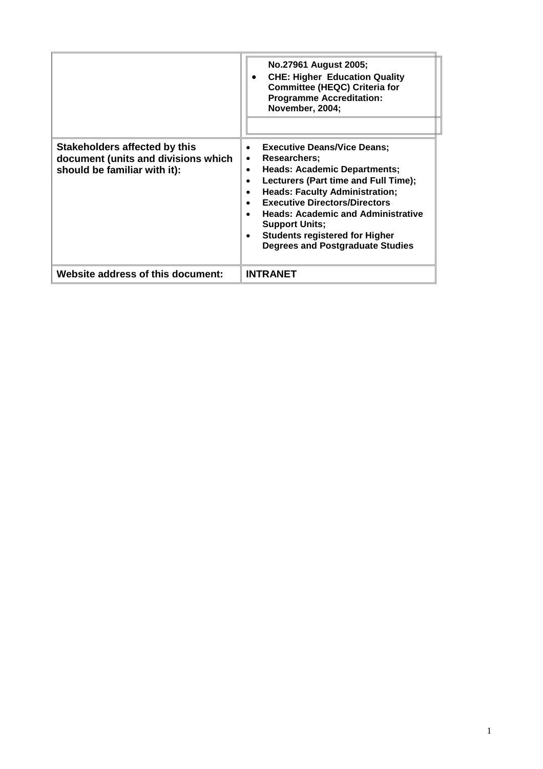|                                                                                                      | No.27961 August 2005;<br><b>CHE: Higher Education Quality</b><br><b>Committee (HEQC) Criteria for</b><br><b>Programme Accreditation:</b><br>November, 2004;                                                                                                                                                                                                                               |
|------------------------------------------------------------------------------------------------------|-------------------------------------------------------------------------------------------------------------------------------------------------------------------------------------------------------------------------------------------------------------------------------------------------------------------------------------------------------------------------------------------|
| Stakeholders affected by this<br>document (units and divisions which<br>should be familiar with it): | <b>Executive Deans/Vice Deans;</b><br>Researchers:<br>$\bullet$<br><b>Heads: Academic Departments;</b><br>Lecturers (Part time and Full Time);<br><b>Heads: Faculty Administration;</b><br><b>Executive Directors/Directors</b><br><b>Heads: Academic and Administrative</b><br><b>Support Units;</b><br><b>Students registered for Higher</b><br><b>Degrees and Postgraduate Studies</b> |
| <b>Website address of this document:</b>                                                             | <b>INTRANET</b>                                                                                                                                                                                                                                                                                                                                                                           |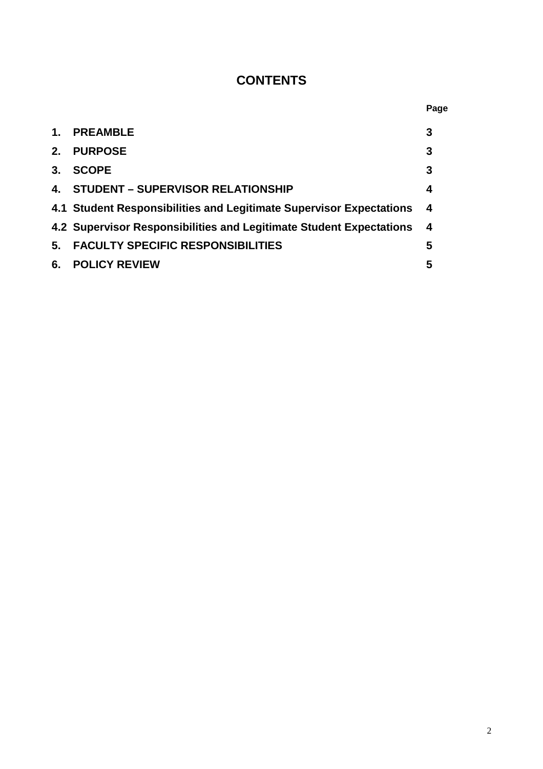# **CONTENTS**

|              |                                                                     | Page |
|--------------|---------------------------------------------------------------------|------|
| $\mathbf{1}$ | <b>PREAMBLE</b>                                                     | 3    |
| 2.           | <b>PURPOSE</b>                                                      | 3    |
| 3.           | <b>SCOPE</b>                                                        | 3    |
| $\mathbf{A}$ | <b>STUDENT - SUPERVISOR RELATIONSHIP</b>                            | 4    |
|              | 4.1 Student Responsibilities and Legitimate Supervisor Expectations | - 4  |
|              | 4.2 Supervisor Responsibilities and Legitimate Student Expectations | 4    |
| 5.           | <b>FACULTY SPECIFIC RESPONSIBILITIES</b>                            | 5    |
| 6.           | <b>POLICY REVIEW</b>                                                | 5    |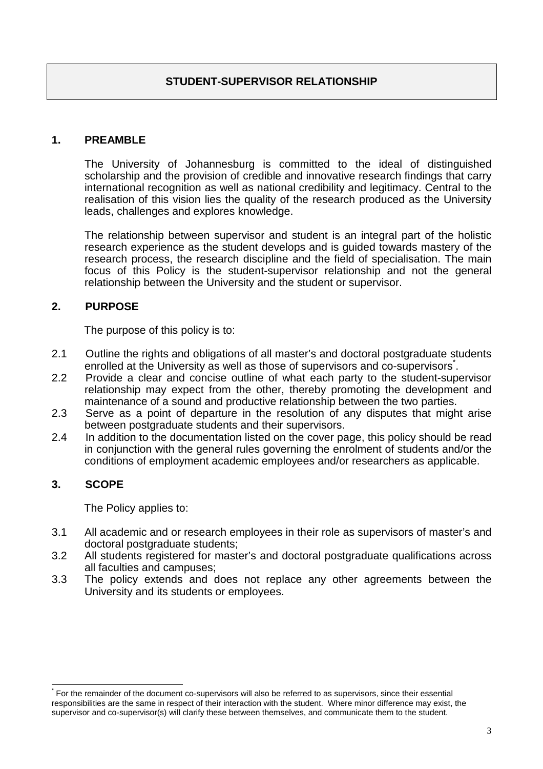#### **1. PREAMBLE**

The University of Johannesburg is committed to the ideal of distinguished scholarship and the provision of credible and innovative research findings that carry international recognition as well as national credibility and legitimacy. Central to the realisation of this vision lies the quality of the research produced as the University leads, challenges and explores knowledge.

The relationship between supervisor and student is an integral part of the holistic research experience as the student develops and is guided towards mastery of the research process, the research discipline and the field of specialisation. The main focus of this Policy is the student-supervisor relationship and not the general relationship between the University and the student or supervisor.

## **2. PURPOSE**

The purpose of this policy is to:

- 2.1 Outline the rights and obligations of all master's and doctoral postgraduate students enrolled at the University as well as those of supervisors and co-supervisors.
- 2.2 Provide a clear and concise outline of what each party to the student-supervisor relationship may expect from the other, thereby promoting the development and maintenance of a sound and productive relationship between the two parties.
- 2.3 Serve as a point of departure in the resolution of any disputes that might arise between postgraduate students and their supervisors.
- 2.4 In addition to the documentation listed on the cover page, this policy should be read in conjunction with the general rules governing the enrolment of students and/or the conditions of employment academic employees and/or researchers as applicable.

#### **3. SCOPE**

The Policy applies to:

- 3.1 All academic and or research employees in their role as supervisors of master's and doctoral postgraduate students;
- 3.2 All students registered for master's and doctoral postgraduate qualifications across all faculties and campuses;
- 3.3 The policy extends and does not replace any other agreements between the University and its students or employees.

<sup>\*</sup> For the remainder of the document co-supervisors will also be referred to as supervisors, since their essential responsibilities are the same in respect of their interaction with the student. Where minor difference may exist, the supervisor and co-supervisor(s) will clarify these between themselves, and communicate them to the student.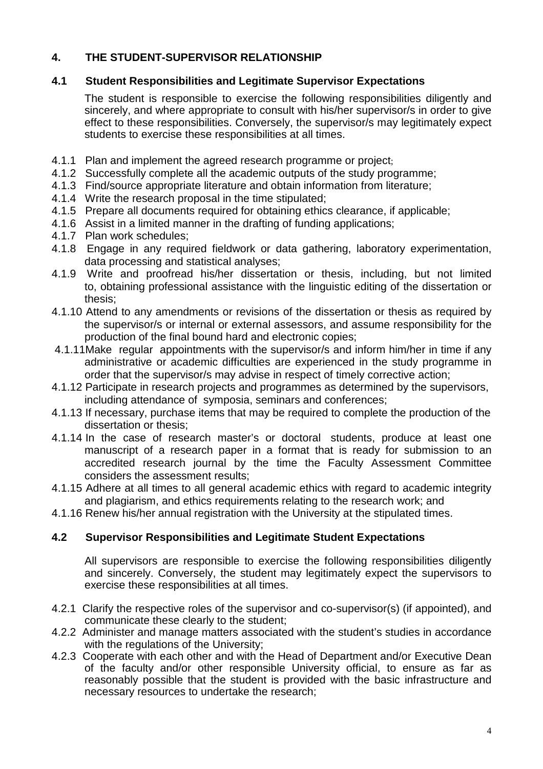## **4. THE STUDENT-SUPERVISOR RELATIONSHIP**

#### **4.1 Student Responsibilities and Legitimate Supervisor Expectations**

The student is responsible to exercise the following responsibilities diligently and sincerely, and where appropriate to consult with his/her supervisor/s in order to give effect to these responsibilities. Conversely, the supervisor/s may legitimately expect students to exercise these responsibilities at all times.

- 4.1.1 Plan and implement the agreed research programme or project;
- 4.1.2 Successfully complete all the academic outputs of the study programme;
- 4.1.3 Find/source appropriate literature and obtain information from literature;
- 4.1.4 Write the research proposal in the time stipulated;
- 4.1.5 Prepare all documents required for obtaining ethics clearance, if applicable;
- 4.1.6 Assist in a limited manner in the drafting of funding applications;
- 4.1.7 Plan work schedules;
- 4.1.8 Engage in any required fieldwork or data gathering, laboratory experimentation, data processing and statistical analyses;
- 4.1.9 Write and proofread his/her dissertation or thesis, including, but not limited to, obtaining professional assistance with the linguistic editing of the dissertation or thesis;
- 4.1.10 Attend to any amendments or revisions of the dissertation or thesis as required by the supervisor/s or internal or external assessors, and assume responsibility for the production of the final bound hard and electronic copies;
- 4.1.11Make regular appointments with the supervisor/s and inform him/her in time if any administrative or academic difficulties are experienced in the study programme in order that the supervisor/s may advise in respect of timely corrective action;
- 4.1.12 Participate in research projects and programmes as determined by the supervisors, including attendance of symposia, seminars and conferences;
- 4.1.13 If necessary, purchase items that may be required to complete the production of the dissertation or thesis;
- 4.1.14 In the case of research master's or doctoral students, produce at least one manuscript of a research paper in a format that is ready for submission to an accredited research journal by the time the Faculty Assessment Committee considers the assessment results;
- 4.1.15 Adhere at all times to all general academic ethics with regard to academic integrity and plagiarism, and ethics requirements relating to the research work; and
- 4.1.16 Renew his/her annual registration with the University at the stipulated times.

## **4.2 Supervisor Responsibilities and Legitimate Student Expectations**

All supervisors are responsible to exercise the following responsibilities diligently and sincerely. Conversely, the student may legitimately expect the supervisors to exercise these responsibilities at all times.

- 4.2.1 Clarify the respective roles of the supervisor and co-supervisor(s) (if appointed), and communicate these clearly to the student;
- 4.2.2 Administer and manage matters associated with the student's studies in accordance with the regulations of the University;
- 4.2.3 Cooperate with each other and with the Head of Department and/or Executive Dean of the faculty and/or other responsible University official, to ensure as far as reasonably possible that the student is provided with the basic infrastructure and necessary resources to undertake the research;